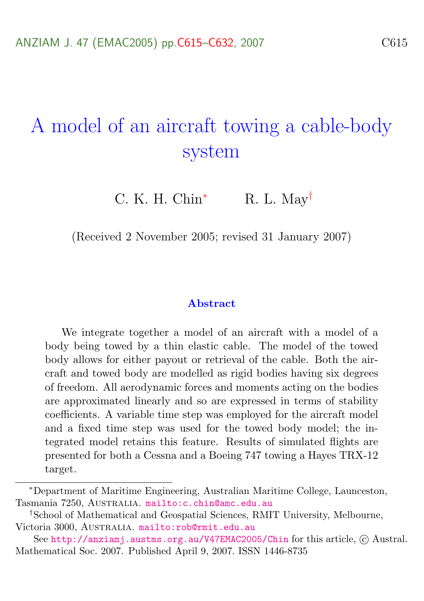# A model of an aircraft towing a cable-body system

C. K. H. Chin<sup>\*</sup> R. L. May<sup>†</sup>

(Received 2 November 2005; revised 31 January 2007)

#### Abstract

We integrate together a model of an aircraft with a model of a body being towed by a thin elastic cable. The model of the towed body allows for either payout or retrieval of the cable. Both the aircraft and towed body are modelled as rigid bodies having six degrees of freedom. All aerodynamic forces and moments acting on the bodies are approximated linearly and so are expressed in terms of stability coefficients. A variable time step was employed for the aircraft model and a fixed time step was used for the towed body model; the integrated model retains this feature. Results of simulated flights are presented for both a Cessna and a Boeing 747 towing a Hayes TRX-12 target.

<sup>∗</sup>Department of Maritime Engineering, Australian Maritime College, Launceston, Tasmania 7250, AUSTRALIA. <mailto:c.chin@amc.edu.au>

<sup>†</sup>School of Mathematical and Geospatial Sciences, RMIT University, Melbourne, Victoria 3000, Australia. <mailto:rob@rmit.edu.au>

See <http://anziamj.austms.org.au/V47EMAC2005/Chin> for this article,  $\odot$  Austral. Mathematical Soc. 2007. Published April 9, 2007. ISSN 1446-8735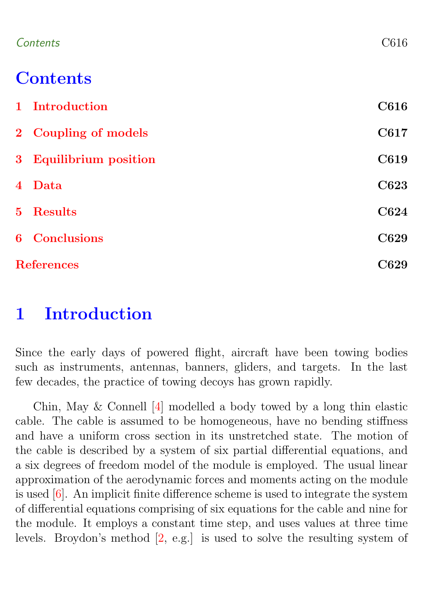<span id="page-1-1"></span>

### **Contents**

| 1 Introduction         | C616 |
|------------------------|------|
| 2 Coupling of models   | C617 |
| 3 Equilibrium position | C619 |
| 4 Data                 | C623 |
| 5 Results              | C624 |
| <b>6</b> Conclusions   | C629 |
| <b>References</b>      | C629 |

### <span id="page-1-0"></span>1 Introduction

Since the early days of powered flight, aircraft have been towing bodies such as instruments, antennas, banners, gliders, and targets. In the last few decades, the practice of towing decoys has grown rapidly.

Chin, May & Connell [\[4\]](#page-17-0) modelled a body towed by a long thin elastic cable. The cable is assumed to be homogeneous, have no bending stiffness and have a uniform cross section in its unstretched state. The motion of the cable is described by a system of six partial differential equations, and a six degrees of freedom model of the module is employed. The usual linear approximation of the aerodynamic forces and moments acting on the module is used [\[6\]](#page-17-1). An implicit finite difference scheme is used to integrate the system of differential equations comprising of six equations for the cable and nine for the module. It employs a constant time step, and uses values at three time levels. Broydon's method [\[2,](#page-17-2) e.g.] is used to solve the resulting system of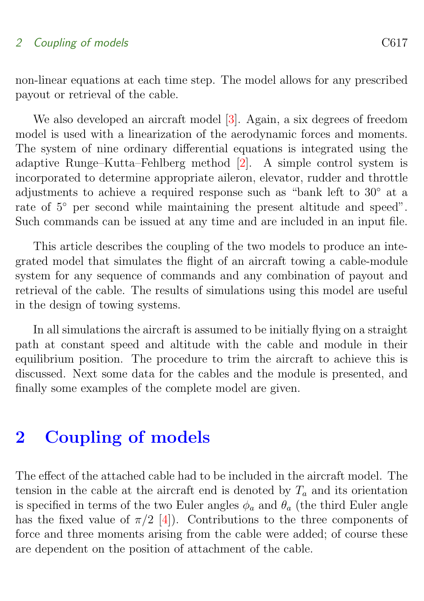### <span id="page-2-1"></span>2 Coupling of models C617

non-linear equations at each time step. The model allows for any prescribed payout or retrieval of the cable.

We also developed an aircraft model [\[3\]](#page-17-3). Again, a six degrees of freedom model is used with a linearization of the aerodynamic forces and moments. The system of nine ordinary differential equations is integrated using the adaptive Runge–Kutta–Fehlberg method [\[2\]](#page-17-2). A simple control system is incorporated to determine appropriate aileron, elevator, rudder and throttle adjustments to achieve a required response such as "bank left to 30◦ at a rate of 5◦ per second while maintaining the present altitude and speed". Such commands can be issued at any time and are included in an input file.

This article describes the coupling of the two models to produce an integrated model that simulates the flight of an aircraft towing a cable-module system for any sequence of commands and any combination of payout and retrieval of the cable. The results of simulations using this model are useful in the design of towing systems.

In all simulations the aircraft is assumed to be initially flying on a straight path at constant speed and altitude with the cable and module in their equilibrium position. The procedure to trim the aircraft to achieve this is discussed. Next some data for the cables and the module is presented, and finally some examples of the complete model are given.

### <span id="page-2-0"></span>2 Coupling of models

The effect of the attached cable had to be included in the aircraft model. The tension in the cable at the aircraft end is denoted by  $T_a$  and its orientation is specified in terms of the two Euler angles  $\phi_a$  and  $\theta_a$  (the third Euler angle has the fixed value of  $\pi/2$  [\[4\]](#page-17-0)). Contributions to the three components of force and three moments arising from the cable were added; of course these are dependent on the position of attachment of the cable.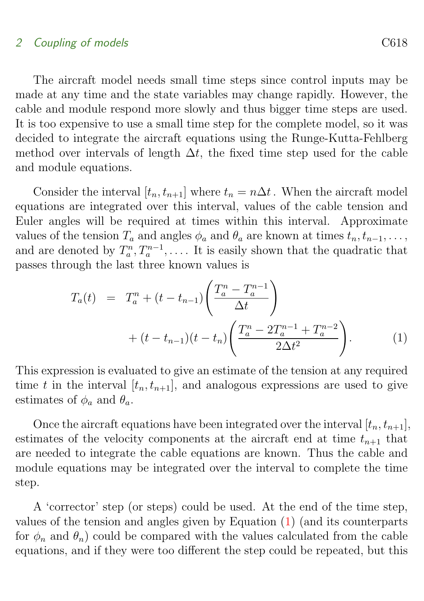#### 2 Coupling of models C618

The aircraft model needs small time steps since control inputs may be made at any time and the state variables may change rapidly. However, the cable and module respond more slowly and thus bigger time steps are used. It is too expensive to use a small time step for the complete model, so it was decided to integrate the aircraft equations using the Runge-Kutta-Fehlberg method over intervals of length  $\Delta t$ , the fixed time step used for the cable and module equations.

Consider the interval  $[t_n, t_{n+1}]$  where  $t_n = n\Delta t$ . When the aircraft model equations are integrated over this interval, values of the cable tension and Euler angles will be required at times within this interval. Approximate values of the tension  $T_a$  and angles  $\phi_a$  and  $\theta_a$  are known at times  $t_n, t_{n-1}, \ldots$ , and are denoted by  $T_a^n, T_a^{n-1}, \ldots$ . It is easily shown that the quadratic that passes through the last three known values is

<span id="page-3-0"></span>
$$
T_a(t) = T_a^n + (t - t_{n-1}) \left( \frac{T_a^n - T_a^{n-1}}{\Delta t} \right)
$$
  
+ 
$$
(t - t_{n-1})(t - t_n) \left( \frac{T_a^n - 2T_a^{n-1} + T_a^{n-2}}{2\Delta t^2} \right).
$$
 (1)

This expression is evaluated to give an estimate of the tension at any required time t in the interval  $[t_n, t_{n+1}]$ , and analogous expressions are used to give estimates of  $\phi_a$  and  $\theta_a$ .

Once the aircraft equations have been integrated over the interval  $[t_n, t_{n+1}]$ , estimates of the velocity components at the aircraft end at time  $t_{n+1}$  that are needed to integrate the cable equations are known. Thus the cable and module equations may be integrated over the interval to complete the time step.

A 'corrector' step (or steps) could be used. At the end of the time step, values of the tension and angles given by Equation [\(1\)](#page-3-0) (and its counterparts for  $\phi_n$  and  $\theta_n$ ) could be compared with the values calculated from the cable equations, and if they were too different the step could be repeated, but this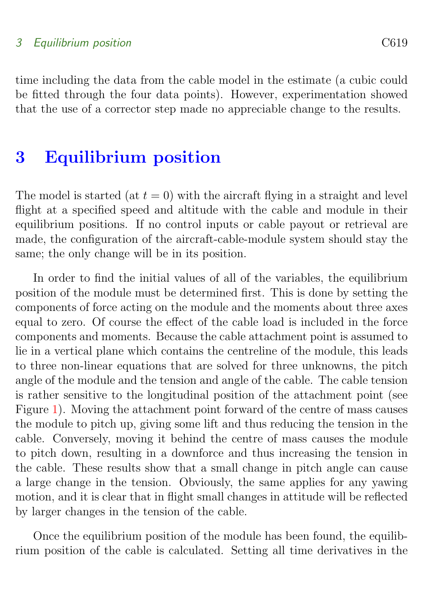#### 3 Equilibrium position C619

time including the data from the cable model in the estimate (a cubic could be fitted through the four data points). However, experimentation showed that the use of a corrector step made no appreciable change to the results.

### <span id="page-4-0"></span>3 Equilibrium position

The model is started (at  $t = 0$ ) with the aircraft flying in a straight and level flight at a specified speed and altitude with the cable and module in their equilibrium positions. If no control inputs or cable payout or retrieval are made, the configuration of the aircraft-cable-module system should stay the same; the only change will be in its position.

In order to find the initial values of all of the variables, the equilibrium position of the module must be determined first. This is done by setting the components of force acting on the module and the moments about three axes equal to zero. Of course the effect of the cable load is included in the force components and moments. Because the cable attachment point is assumed to lie in a vertical plane which contains the centreline of the module, this leads to three non-linear equations that are solved for three unknowns, the pitch angle of the module and the tension and angle of the cable. The cable tension is rather sensitive to the longitudinal position of the attachment point (see Figure [1\)](#page-5-0). Moving the attachment point forward of the centre of mass causes the module to pitch up, giving some lift and thus reducing the tension in the cable. Conversely, moving it behind the centre of mass causes the module to pitch down, resulting in a downforce and thus increasing the tension in the cable. These results show that a small change in pitch angle can cause a large change in the tension. Obviously, the same applies for any yawing motion, and it is clear that in flight small changes in attitude will be reflected by larger changes in the tension of the cable.

Once the equilibrium position of the module has been found, the equilibrium position of the cable is calculated. Setting all time derivatives in the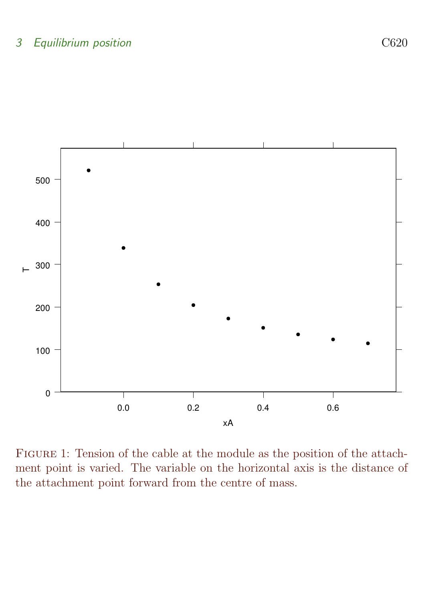

<span id="page-5-0"></span>Figure 1: Tension of the cable at the module as the position of the attachment point is varied. The variable on the horizontal axis is the distance of the attachment point forward from the centre of mass.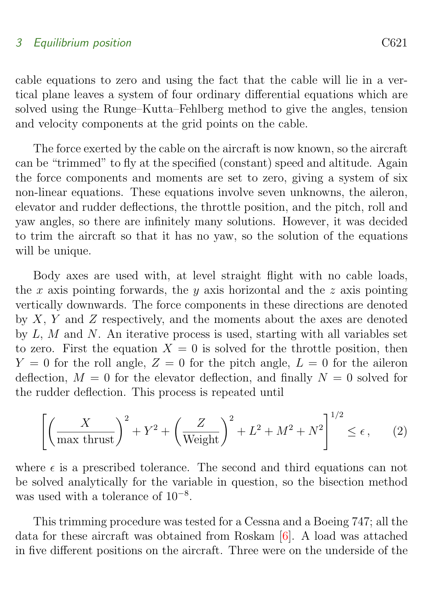<span id="page-6-0"></span>cable equations to zero and using the fact that the cable will lie in a vertical plane leaves a system of four ordinary differential equations which are solved using the Runge–Kutta–Fehlberg method to give the angles, tension and velocity components at the grid points on the cable.

The force exerted by the cable on the aircraft is now known, so the aircraft can be "trimmed" to fly at the specified (constant) speed and altitude. Again the force components and moments are set to zero, giving a system of six non-linear equations. These equations involve seven unknowns, the aileron, elevator and rudder deflections, the throttle position, and the pitch, roll and yaw angles, so there are infinitely many solutions. However, it was decided to trim the aircraft so that it has no yaw, so the solution of the equations will be unique.

Body axes are used with, at level straight flight with no cable loads, the x axis pointing forwards, the y axis horizontal and the z axis pointing vertically downwards. The force components in these directions are denoted by  $X, Y$  and  $Z$  respectively, and the moments about the axes are denoted by  $L, M$  and  $N$ . An iterative process is used, starting with all variables set to zero. First the equation  $X = 0$  is solved for the throttle position, then  $Y = 0$  for the roll angle,  $Z = 0$  for the pitch angle,  $L = 0$  for the aileron deflection,  $M = 0$  for the elevator deflection, and finally  $N = 0$  solved for the rudder deflection. This process is repeated until

$$
\left[ \left( \frac{X}{\max \, \text{thrust}} \right)^2 + Y^2 + \left( \frac{Z}{\text{Weight}} \right)^2 + L^2 + M^2 + N^2 \right]^{1/2} \le \epsilon \,, \tag{2}
$$

where  $\epsilon$  is a prescribed tolerance. The second and third equations can not be solved analytically for the variable in question, so the bisection method was used with a tolerance of 10<sup>−</sup><sup>8</sup> .

This trimming procedure was tested for a Cessna and a Boeing 747; all the data for these aircraft was obtained from Roskam [\[6\]](#page-17-1). A load was attached in five different positions on the aircraft. Three were on the underside of the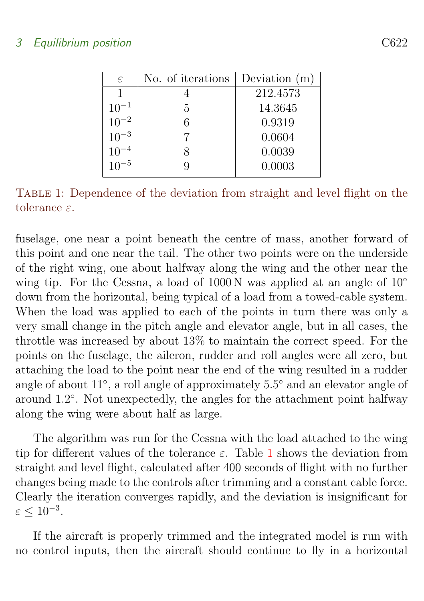### 3 Equilibrium position C622

| $\varepsilon$ | No. of iterations | Deviation $(m)$ |
|---------------|-------------------|-----------------|
|               |                   | 212.4573        |
| $10^{-1}$     | 5                 | 14.3645         |
| $10^{-2}$     | 6                 | 0.9319          |
| $10^{-3}$     |                   | 0.0604          |
| $10^{-4}$     |                   | 0.0039          |
|               |                   | 0.0003          |

<span id="page-7-0"></span>TABLE 1: Dependence of the deviation from straight and level flight on the tolerance ε.

fuselage, one near a point beneath the centre of mass, another forward of this point and one near the tail. The other two points were on the underside of the right wing, one about halfway along the wing and the other near the wing tip. For the Cessna, a load of 1000 N was applied at an angle of 10<sup>°</sup> down from the horizontal, being typical of a load from a towed-cable system. When the load was applied to each of the points in turn there was only a very small change in the pitch angle and elevator angle, but in all cases, the throttle was increased by about 13% to maintain the correct speed. For the points on the fuselage, the aileron, rudder and roll angles were all zero, but attaching the load to the point near the end of the wing resulted in a rudder angle of about 11◦ , a roll angle of approximately 5.5 ◦ and an elevator angle of around 1.2 ◦ . Not unexpectedly, the angles for the attachment point halfway along the wing were about half as large.

The algorithm was run for the Cessna with the load attached to the wing tip for different values of the tolerance  $\varepsilon$ . Table [1](#page-7-0) shows the deviation from straight and level flight, calculated after 400 seconds of flight with no further changes being made to the controls after trimming and a constant cable force. Clearly the iteration converges rapidly, and the deviation is insignificant for  $\varepsilon \leq 10^{-3}$ .

If the aircraft is properly trimmed and the integrated model is run with no control inputs, then the aircraft should continue to fly in a horizontal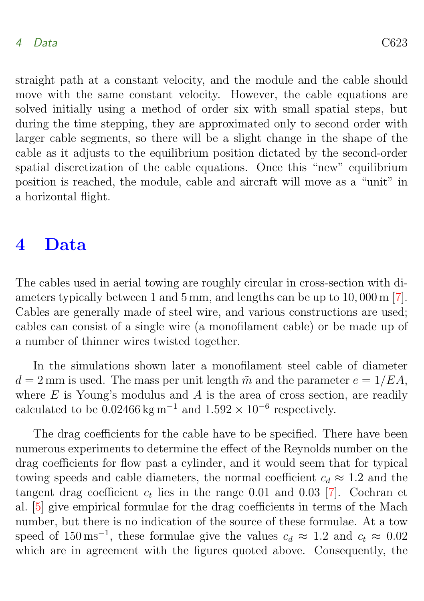<span id="page-8-1"></span>straight path at a constant velocity, and the module and the cable should move with the same constant velocity. However, the cable equations are solved initially using a method of order six with small spatial steps, but during the time stepping, they are approximated only to second order with larger cable segments, so there will be a slight change in the shape of the cable as it adjusts to the equilibrium position dictated by the second-order spatial discretization of the cable equations. Once this "new" equilibrium position is reached, the module, cable and aircraft will move as a "unit" in a horizontal flight.

### <span id="page-8-0"></span>4 Data

The cables used in aerial towing are roughly circular in cross-section with diameters typically between 1 and 5 mm, and lengths can be up to 10, 000 m [\[7\]](#page-17-4). Cables are generally made of steel wire, and various constructions are used; cables can consist of a single wire (a monofilament cable) or be made up of a number of thinner wires twisted together.

In the simulations shown later a monofilament steel cable of diameter  $d = 2$  mm is used. The mass per unit length  $\tilde{m}$  and the parameter  $e = 1/EA$ , where  $E$  is Young's modulus and  $A$  is the area of cross section, are readily calculated to be  $0.02466 \text{ kg m}^{-1}$  and  $1.592 \times 10^{-6}$  respectively.

The drag coefficients for the cable have to be specified. There have been numerous experiments to determine the effect of the Reynolds number on the drag coefficients for flow past a cylinder, and it would seem that for typical towing speeds and cable diameters, the normal coefficient  $c_d \approx 1.2$  and the tangent drag coefficient  $c_t$  lies in the range 0.01 and 0.03 [\[7\]](#page-17-4). Cochran et al. [\[5\]](#page-17-5) give empirical formulae for the drag coefficients in terms of the Mach number, but there is no indication of the source of these formulae. At a tow speed of  $150 \text{ ms}^{-1}$ , these formulae give the values  $c_d \approx 1.2$  and  $c_t \approx 0.02$ which are in agreement with the figures quoted above. Consequently, the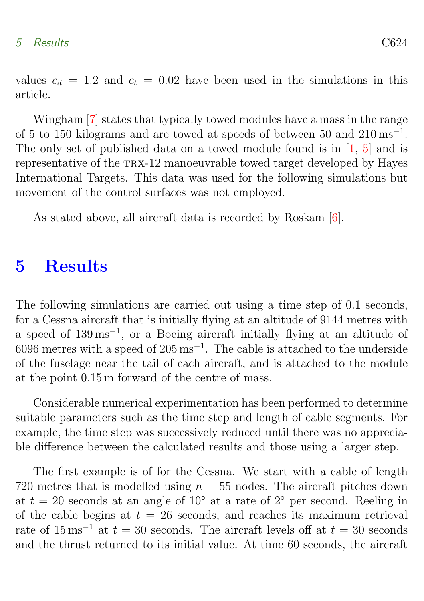<span id="page-9-1"></span>values  $c_d = 1.2$  and  $c_t = 0.02$  have been used in the simulations in this article.

Wingham [\[7\]](#page-17-4) states that typically towed modules have a mass in the range of 5 to 150 kilograms and are towed at speeds of between 50 and  $210 \,\mathrm{ms}^{-1}$ . The only set of published data on a towed module found is in [\[1,](#page-14-2) [5\]](#page-17-5) and is representative of the TRX-12 manoeuvrable towed target developed by Hayes International Targets. This data was used for the following simulations but movement of the control surfaces was not employed.

As stated above, all aircraft data is recorded by Roskam [\[6\]](#page-17-1).

### <span id="page-9-0"></span>5 Results

The following simulations are carried out using a time step of 0.1 seconds, for a Cessna aircraft that is initially flying at an altitude of 9144 metres with a speed of 139 ms<sup>−</sup><sup>1</sup> , or a Boeing aircraft initially flying at an altitude of  $6096$  metres with a speed of  $205 \,\mathrm{ms}^{-1}$ . The cable is attached to the underside of the fuselage near the tail of each aircraft, and is attached to the module at the point 0.15 m forward of the centre of mass.

Considerable numerical experimentation has been performed to determine suitable parameters such as the time step and length of cable segments. For example, the time step was successively reduced until there was no appreciable difference between the calculated results and those using a larger step.

The first example is of for the Cessna. We start with a cable of length 720 metres that is modelled using  $n = 55$  nodes. The aircraft pitches down at  $t = 20$  seconds at an angle of 10° at a rate of 2° per second. Reeling in of the cable begins at  $t = 26$  seconds, and reaches its maximum retrieval rate of  $15 \text{ ms}^{-1}$  at  $t = 30$  seconds. The aircraft levels off at  $t = 30$  seconds and the thrust returned to its initial value. At time 60 seconds, the aircraft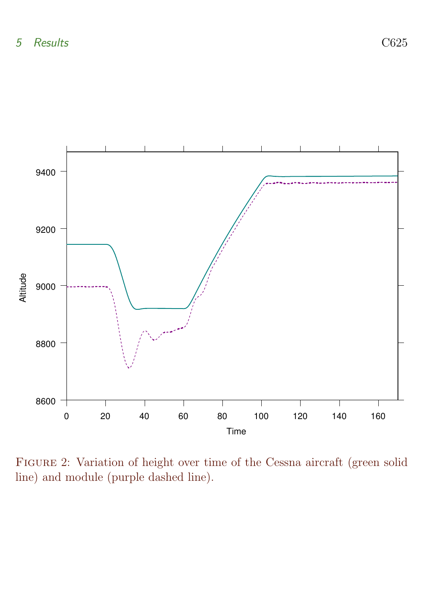

<span id="page-10-0"></span>Figure 2: Variation of height over time of the Cessna aircraft (green solid line) and module (purple dashed line).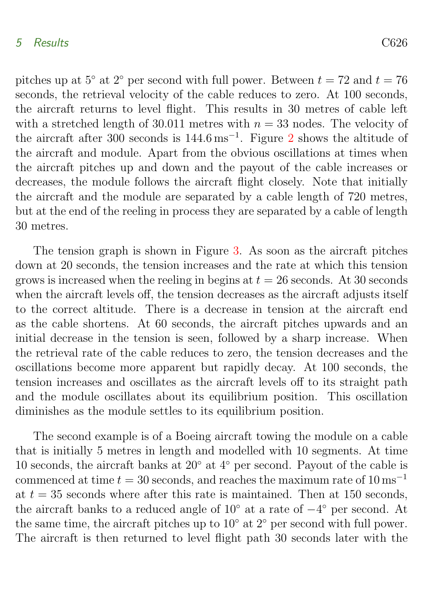#### 5 Results C626

pitches up at  $5°$  at  $2°$  per second with full power. Between  $t = 72$  and  $t = 76$ seconds, the retrieval velocity of the cable reduces to zero. At 100 seconds, the aircraft returns to level flight. This results in 30 metres of cable left with a stretched length of 30.011 metres with  $n = 33$  nodes. The velocity of the aircraft after 300 seconds is 144.6 ms<sup>−</sup><sup>1</sup> . Figure [2](#page-10-0) shows the altitude of

but at the end of the reeling in process they are separated by a cable of length 30 metres. The tension graph is shown in Figure [3.](#page-12-0) As soon as the aircraft pitches down at 20 seconds, the tension increases and the rate at which this tension grows is increased when the reeling in begins at  $t = 26$  seconds. At 30 seconds when the aircraft levels off, the tension decreases as the aircraft adjusts itself to the correct altitude. There is a decrease in tension at the aircraft end as the cable shortens. At 60 seconds, the aircraft pitches upwards and an initial decrease in the tension is seen, followed by a sharp increase. When the retrieval rate of the cable reduces to zero, the tension decreases and the oscillations become more apparent but rapidly decay. At 100 seconds, the tension increases and oscillates as the aircraft levels off to its straight path

the aircraft and module. Apart from the obvious oscillations at times when the aircraft pitches up and down and the payout of the cable increases or decreases, the module follows the aircraft flight closely. Note that initially the aircraft and the module are separated by a cable length of 720 metres,

and the module oscillates about its equilibrium position. This oscillation diminishes as the module settles to its equilibrium position.

The second example is of a Boeing aircraft towing the module on a cable that is initially 5 metres in length and modelled with 10 segments. At time 10 seconds, the aircraft banks at 20◦ at 4◦ per second. Payout of the cable is commenced at time  $t = 30$  seconds, and reaches the maximum rate of  $10 \text{ ms}^{-1}$ at  $t = 35$  seconds where after this rate is maintained. Then at 150 seconds, the aircraft banks to a reduced angle of 10◦ at a rate of −4 ◦ per second. At the same time, the aircraft pitches up to  $10<sup>°</sup>$  at  $2<sup>°</sup>$  per second with full power. The aircraft is then returned to level flight path 30 seconds later with the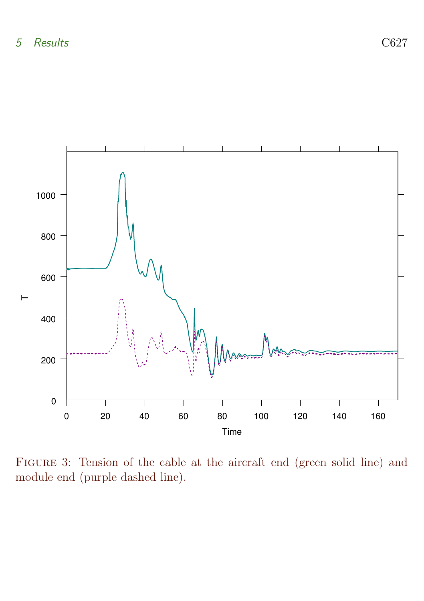

<span id="page-12-0"></span>Figure 3: Tension of the cable at the aircraft end (green solid line) and module end (purple dashed line).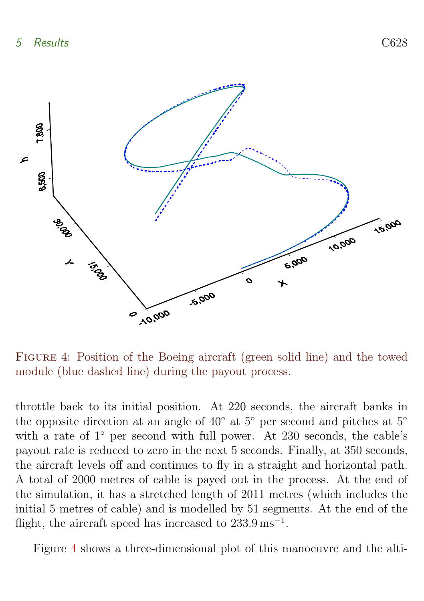

<span id="page-13-0"></span>Figure 4: Position of the Boeing aircraft (green solid line) and the towed module (blue dashed line) during the payout process.

throttle back to its initial position. At 220 seconds, the aircraft banks in the opposite direction at an angle of 40◦ at 5◦ per second and pitches at 5◦ with a rate of 1<sup>°</sup> per second with full power. At 230 seconds, the cable's payout rate is reduced to zero in the next 5 seconds. Finally, at 350 seconds, the aircraft levels off and continues to fly in a straight and horizontal path. A total of 2000 metres of cable is payed out in the process. At the end of the simulation, it has a stretched length of 2011 metres (which includes the initial 5 metres of cable) and is modelled by 51 segments. At the end of the flight, the aircraft speed has increased to  $233.9 \,\mathrm{ms}^{-1}$ .

Figure [4](#page-13-0) shows a three-dimensional plot of this manoeuvre and the alti-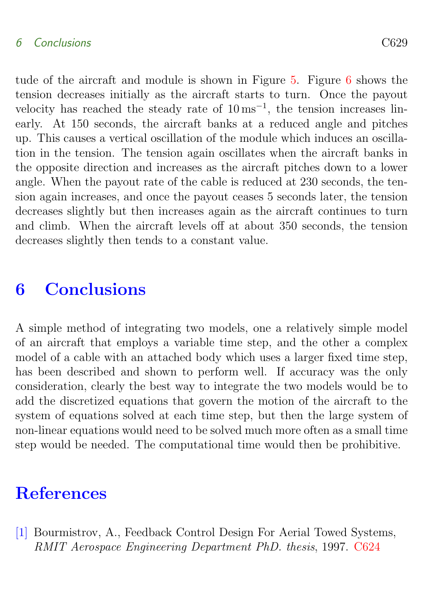### 6 Conclusions C629

tude of the aircraft and module is shown in Figure [5.](#page-15-0) Figure [6](#page-16-0) shows the tension decreases initially as the aircraft starts to turn. Once the payout velocity has reached the steady rate of  $10 \,\mathrm{ms}^{-1}$ , the tension increases linearly. At 150 seconds, the aircraft banks at a reduced angle and pitches up. This causes a vertical oscillation of the module which induces an oscillation in the tension. The tension again oscillates when the aircraft banks in the opposite direction and increases as the aircraft pitches down to a lower angle. When the payout rate of the cable is reduced at 230 seconds, the tension again increases, and once the payout ceases 5 seconds later, the tension decreases slightly but then increases again as the aircraft continues to turn and climb. When the aircraft levels off at about 350 seconds, the tension decreases slightly then tends to a constant value.

## <span id="page-14-1"></span>6 Conclusions

A simple method of integrating two models, one a relatively simple model of an aircraft that employs a variable time step, and the other a complex model of a cable with an attached body which uses a larger fixed time step, has been described and shown to perform well. If accuracy was the only consideration, clearly the best way to integrate the two models would be to add the discretized equations that govern the motion of the aircraft to the system of equations solved at each time step, but then the large system of non-linear equations would need to be solved much more often as a small time step would be needed. The computational time would then be prohibitive.

### **References**

<span id="page-14-2"></span><span id="page-14-0"></span>[1] Bourmistrov, A., Feedback Control Design For Aerial Towed Systems, RMIT Aerospace Engineering Department PhD. thesis, 1997. [C624](#page-9-1)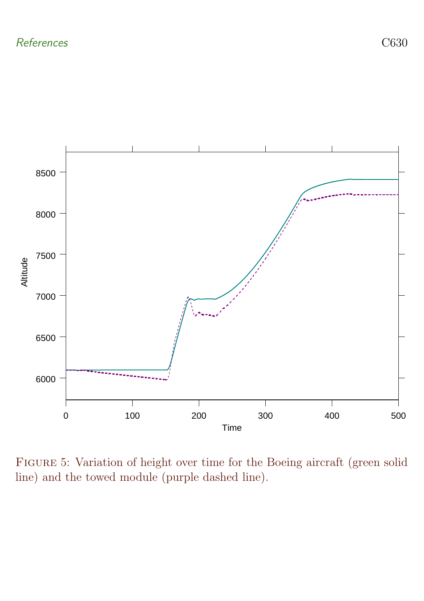

<span id="page-15-0"></span>Figure 5: Variation of height over time for the Boeing aircraft (green solid line) and the towed module (purple dashed line).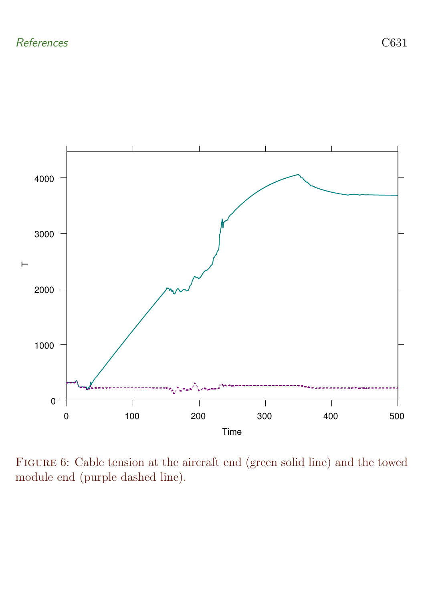

<span id="page-16-0"></span>Figure 6: Cable tension at the aircraft end (green solid line) and the towed module end (purple dashed line).